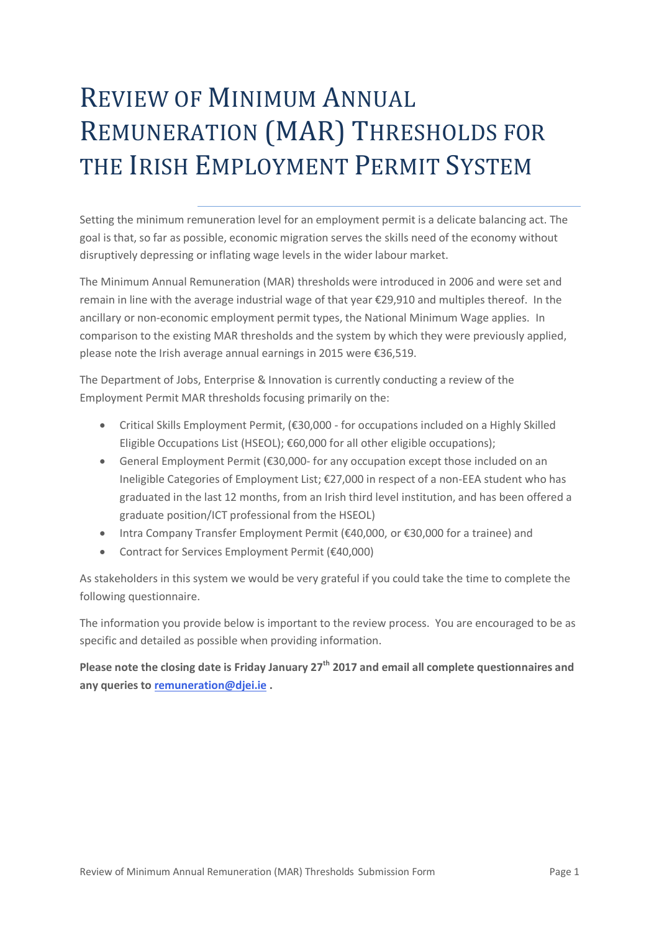# REVIEW OF MINIMUM ANNUAL REMUNERATION (MAR) THRESHOLDS FOR THE IRISH EMPLOYMENT PERMIT SYSTEM

Setting the minimum remuneration level for an employment permit is a delicate balancing act. The goal is that, so far as possible, economic migration serves the skills need of the economy without disruptively depressing or inflating wage levels in the wider labour market.

The Minimum Annual Remuneration (MAR) thresholds were introduced in 2006 and were set and remain in line with the average industrial wage of that year €29,910 and multiples thereof. In the ancillary or non-economic employment permit types, the National Minimum Wage applies. In comparison to the existing MAR thresholds and the system by which they were previously applied, please note the Irish average annual earnings in 2015 were €36,519.

The Department of Jobs, Enterprise & Innovation is currently conducting a review of the Employment Permit MAR thresholds focusing primarily on the:

- Critical Skills Employment Permit, (€30,000 for occupations included on a Highly Skilled Eligible Occupations List (HSEOL); €60,000 for all other eligible occupations);
- General Employment Permit (€30,000- for any occupation except those included on an Ineligible Categories of Employment List; €27,000 in respect of a non-EEA student who has graduated in the last 12 months, from an Irish third level institution, and has been offered a graduate position/ICT professional from the HSEOL)
- Intra Company Transfer Employment Permit (€40,000, or €30,000 for a trainee) and
- Contract for Services Employment Permit (€40,000)

As stakeholders in this system we would be very grateful if you could take the time to complete the following questionnaire.

The information you provide below is important to the review process. You are encouraged to be as specific and detailed as possible when providing information.

**Please note the closing date is Friday January 27th 2017 and email all complete questionnaires and any queries to [remuneration@djei.ie](mailto:remuneration@djei.ie) .**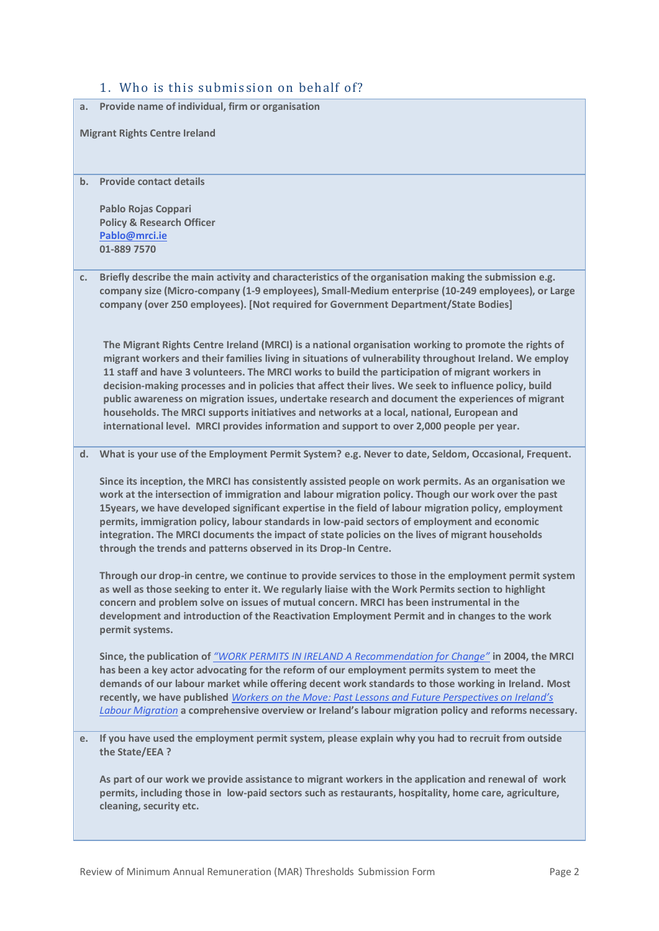## 1. Who is this submission on behalf of?

| a. Provide name of individual, firm or organisation |    |                                                                                                                                                                                                                                                                                                                                                                                                                                                                                                                                                                                                                                                                                                                          |  |  |  |
|-----------------------------------------------------|----|--------------------------------------------------------------------------------------------------------------------------------------------------------------------------------------------------------------------------------------------------------------------------------------------------------------------------------------------------------------------------------------------------------------------------------------------------------------------------------------------------------------------------------------------------------------------------------------------------------------------------------------------------------------------------------------------------------------------------|--|--|--|
|                                                     |    | <b>Migrant Rights Centre Ireland</b>                                                                                                                                                                                                                                                                                                                                                                                                                                                                                                                                                                                                                                                                                     |  |  |  |
|                                                     | b. | <b>Provide contact details</b>                                                                                                                                                                                                                                                                                                                                                                                                                                                                                                                                                                                                                                                                                           |  |  |  |
|                                                     |    | Pablo Rojas Coppari<br><b>Policy &amp; Research Officer</b>                                                                                                                                                                                                                                                                                                                                                                                                                                                                                                                                                                                                                                                              |  |  |  |
|                                                     |    | Pablo@mrci.ie                                                                                                                                                                                                                                                                                                                                                                                                                                                                                                                                                                                                                                                                                                            |  |  |  |
|                                                     |    | 01-889 7570                                                                                                                                                                                                                                                                                                                                                                                                                                                                                                                                                                                                                                                                                                              |  |  |  |
|                                                     | c. | Briefly describe the main activity and characteristics of the organisation making the submission e.g.<br>company size (Micro-company (1-9 employees), Small-Medium enterprise (10-249 employees), or Large<br>company (over 250 employees). [Not required for Government Department/State Bodies]                                                                                                                                                                                                                                                                                                                                                                                                                        |  |  |  |
|                                                     |    | The Migrant Rights Centre Ireland (MRCI) is a national organisation working to promote the rights of<br>migrant workers and their families living in situations of vulnerability throughout Ireland. We employ<br>11 staff and have 3 volunteers. The MRCI works to build the participation of migrant workers in<br>decision-making processes and in policies that affect their lives. We seek to influence policy, build<br>public awareness on migration issues, undertake research and document the experiences of migrant<br>households. The MRCI supports initiatives and networks at a local, national, European and<br>international level. MRCI provides information and support to over 2,000 people per year. |  |  |  |
|                                                     | d. | What is your use of the Employment Permit System? e.g. Never to date, Seldom, Occasional, Frequent.                                                                                                                                                                                                                                                                                                                                                                                                                                                                                                                                                                                                                      |  |  |  |
|                                                     |    | Since its inception, the MRCI has consistently assisted people on work permits. As an organisation we<br>work at the intersection of immigration and labour migration policy. Though our work over the past<br>15 years, we have developed significant expertise in the field of labour migration policy, employment<br>permits, immigration policy, labour standards in low-paid sectors of employment and economic<br>integration. The MRCI documents the impact of state policies on the lives of migrant households<br>through the trends and patterns observed in its Drop-In Centre.                                                                                                                               |  |  |  |
|                                                     |    | Through our drop-in centre, we continue to provide services to those in the employment permit system<br>as well as those seeking to enter it. We regularly liaise with the Work Permits section to highlight<br>concern and problem solve on issues of mutual concern. MRCI has been instrumental in the<br>development and introduction of the Reactivation Employment Permit and in changes to the work<br>permit systems.                                                                                                                                                                                                                                                                                             |  |  |  |
|                                                     |    | Since, the publication of "WORK PERMITS IN IRELAND A Recommendation for Change" in 2004, the MRCI<br>has been a key actor advocating for the reform of our employment permits system to meet the<br>demands of our labour market while offering decent work standards to those working in Ireland. Most<br>recently, we have published Workers on the Move: Past Lessons and Future Perspectives on Ireland's<br>Labour Migration a comprehensive overview or Ireland's labour migration policy and reforms necessary.                                                                                                                                                                                                   |  |  |  |
|                                                     | e. | If you have used the employment permit system, please explain why you had to recruit from outside<br>the State/EEA ?                                                                                                                                                                                                                                                                                                                                                                                                                                                                                                                                                                                                     |  |  |  |
|                                                     |    | As part of our work we provide assistance to migrant workers in the application and renewal of work<br>permits, including those in low-paid sectors such as restaurants, hospitality, home care, agriculture,<br>cleaning, security etc.                                                                                                                                                                                                                                                                                                                                                                                                                                                                                 |  |  |  |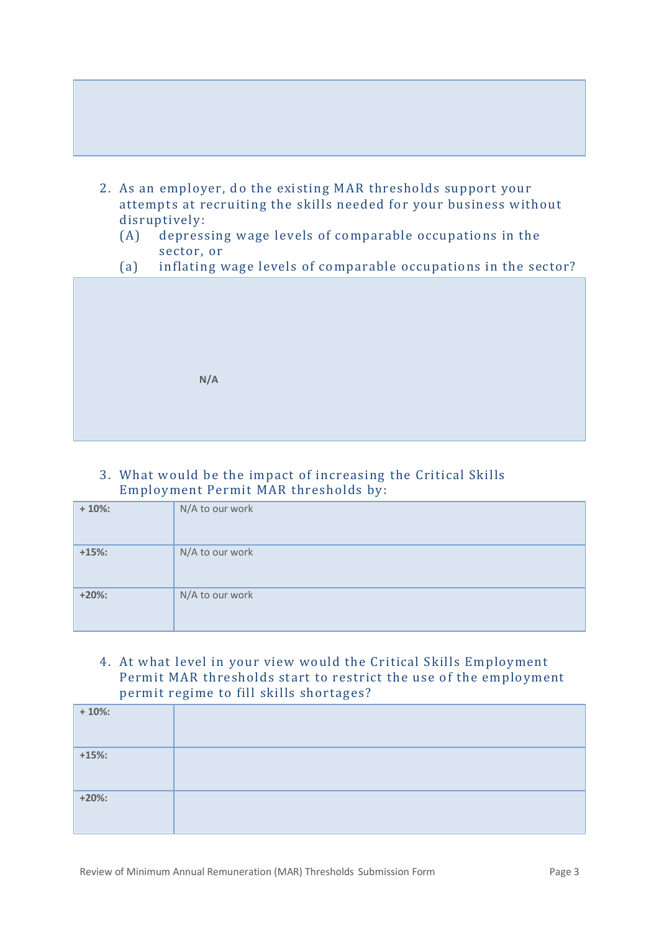- 2. As an employer, do the existing MAR thresholds support your attempts at recruiting the skills needed for your business without disruptively:
	- (A) depressing wage levels of comparable occupations in the sector, or
	- (a) inflating wage levels of comparable occupations in the sector?



## 3. What would be the impact of increasing the Critical Skills Employment Permit MAR thresholds by:

| $+10%$ | N/A to our work |
|--------|-----------------|
| $+15%$ | N/A to our work |
| $+20%$ | N/A to our work |

## 4. At what level in your view would the Critical Skills Employment Permit MAR thresholds start to restrict the use of the employment permit regime to fill skills shortages?

| $+10\%$ |  |
|---------|--|
| $+15%$  |  |
| $+20\%$ |  |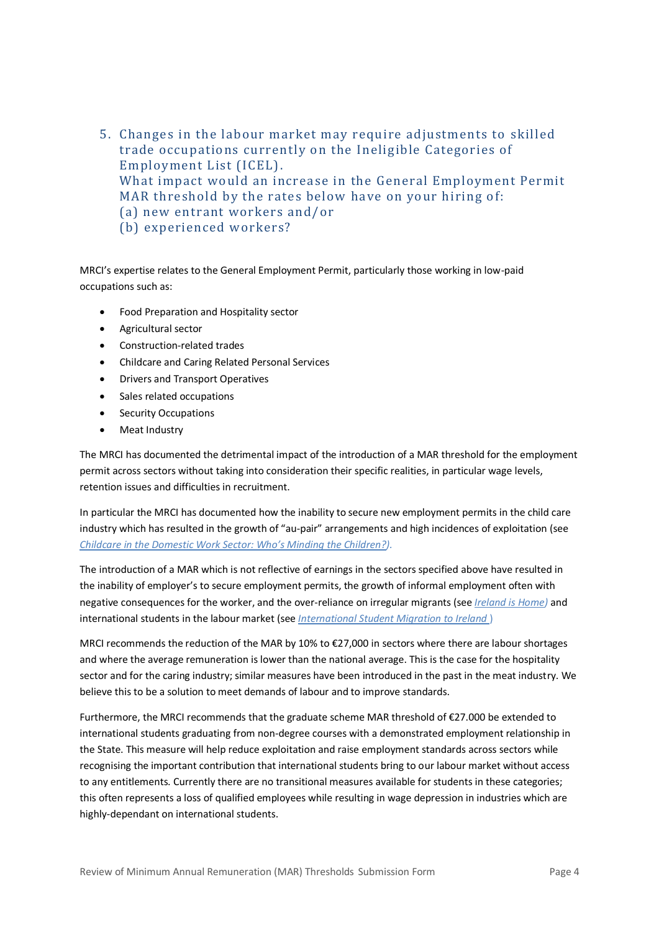5. Changes in the labour market may require adjustments to skilled trade occupations currently on the Ineligible Categories of Employment List (ICEL). What impact would an increase in the General Employment Permit MAR threshold by the rates below have on your hiring of: (a) new entrant workers and/or (b) experienced workers?

MRCI's expertise relates to the General Employment Permit, particularly those working in low-paid occupations such as:

- Food Preparation and Hospitality sector
- Agricultural sector
- Construction-related trades
- Childcare and Caring Related Personal Services
- Drivers and Transport Operatives
- Sales related occupations
- Security Occupations
- Meat Industry

The MRCI has documented the detrimental impact of the introduction of a MAR threshold for the employment permit across sectors without taking into consideration their specific realities, in particular wage levels, retention issues and difficulties in recruitment.

In particular the MRCI has documented how the inability to secure new employment permits in the child care industry which has resulted in the growth of "au-pair" arrangements and high incidences of exploitation (see *[Childcare in the Domestic Work Sector: Who's Minding the Children?](http://www.mrci.ie/wp-content/uploads/2015/06/Childcare-Paper-20152.pdf)).*

The introduction of a MAR which is not reflective of earnings in the sectors specified above have resulted in the inability of employer's to secure employment permits, the growth of informal employment often with negative consequences for the worker, and the over-reliance on irregular migrants (see *[Ireland is Home\)](http://www.mrci.ie/wp-content/uploads/2014/11/MRCI_policy-paper_FINAL.pdf)* and international students in the labour market (see *[International Student Migration to Ireland](https://www.maynoothuniversity.ie/sites/default/files/assets/document/NIRSAMGilmartinNO80_0.pdf)* )

MRCI recommends the reduction of the MAR by 10% to €27,000 in sectors where there are labour shortages and where the average remuneration is lower than the national average. This is the case for the hospitality sector and for the caring industry; similar measures have been introduced in the past in the meat industry. We believe this to be a solution to meet demands of labour and to improve standards.

Furthermore, the MRCI recommends that the graduate scheme MAR threshold of €27.000 be extended to international students graduating from non-degree courses with a demonstrated employment relationship in the State. This measure will help reduce exploitation and raise employment standards across sectors while recognising the important contribution that international students bring to our labour market without access to any entitlements. Currently there are no transitional measures available for students in these categories; this often represents a loss of qualified employees while resulting in wage depression in industries which are highly-dependant on international students.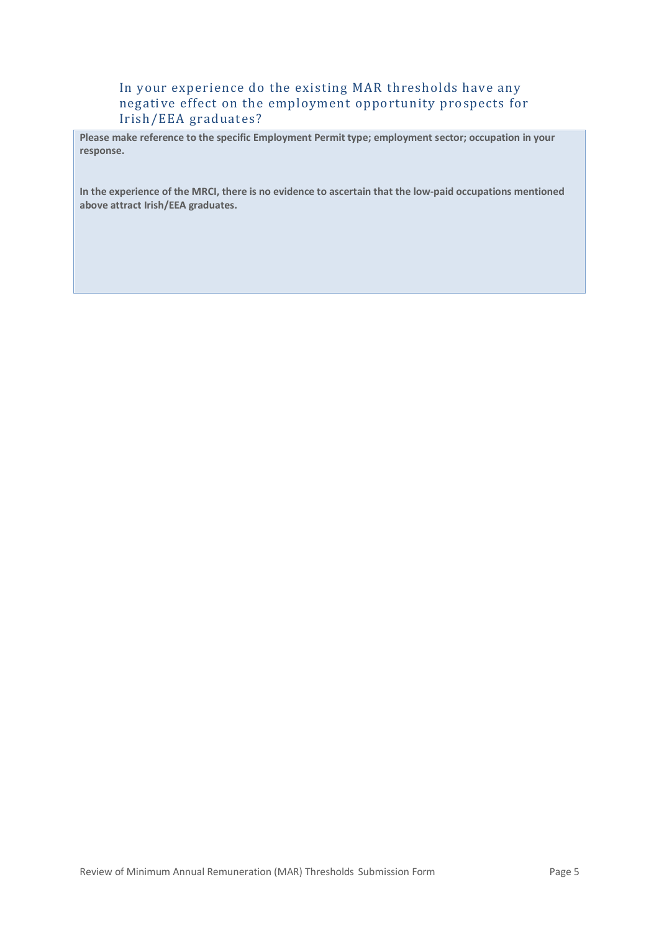#### In your experience do the existing MAR thresholds have any negative effect on the employment opportunity prospects for Irish/EEA graduates?

**Please make reference to the specific Employment Permit type; employment sector; occupation in your response.**

**In the experience of the MRCI, there is no evidence to ascertain that the low-paid occupations mentioned above attract Irish/EEA graduates.**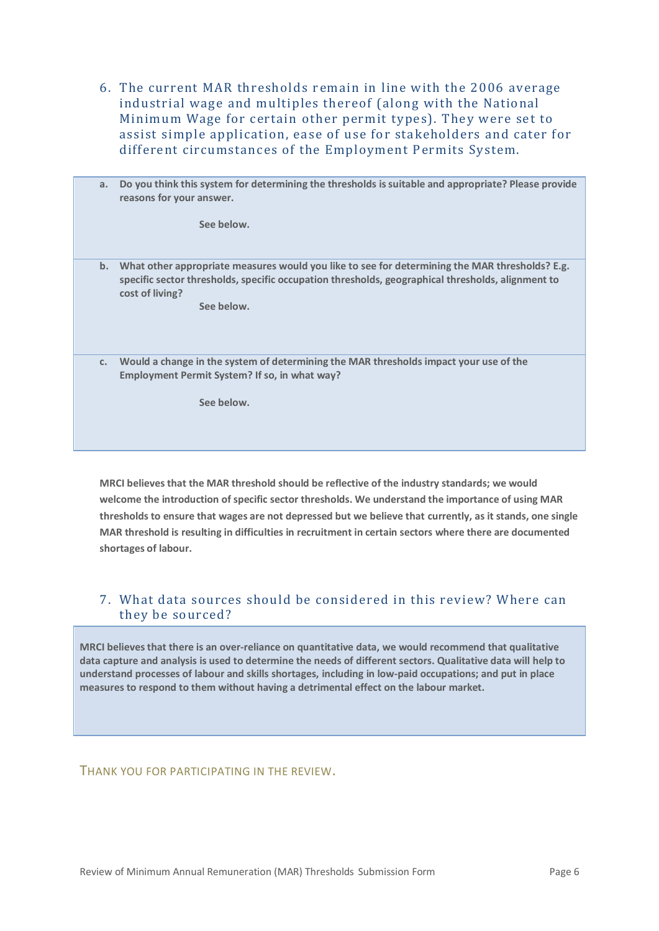6. The current MAR thresholds remain in line with the 2006 average industrial wage and multiples thereof (along with the National Minimum Wage for certain other permit types). They were set to assist simple application, ease of use for stakeholders and cater for different circumstances of the Employment Permits System.

| a.             | Do you think this system for determining the thresholds is suitable and appropriate? Please provide<br>reasons for your answer.<br>See below.                                                                                        |
|----------------|--------------------------------------------------------------------------------------------------------------------------------------------------------------------------------------------------------------------------------------|
| b.             | What other appropriate measures would you like to see for determining the MAR thresholds? E.g.<br>specific sector thresholds, specific occupation thresholds, geographical thresholds, alignment to<br>cost of living?<br>See below. |
| C <sub>1</sub> | Would a change in the system of determining the MAR thresholds impact your use of the<br>Employment Permit System? If so, in what way?                                                                                               |
|                | See below.                                                                                                                                                                                                                           |

**MRCI believesthat the MAR threshold should be reflective of the industry standards; we would welcome the introduction of specific sector thresholds. We understand the importance of using MAR thresholds to ensure that wages are not depressed but we believe that currently, as it stands, one single MAR threshold is resulting in difficulties in recruitment in certain sectors where there are documented shortages of labour.** 

#### 7. What data sources should be considered in this review? Where can they be sourced?

**MRCI believes that there is an over-reliance on quantitative data, we would recommend that qualitative data capture and analysis is used to determine the needs of different sectors. Qualitative data will help to understand processes of labour and skills shortages, including in low-paid occupations; and put in place measures to respond to them without having a detrimental effect on the labour market.**

THANK YOU FOR PARTICIPATING IN THE REVIEW.